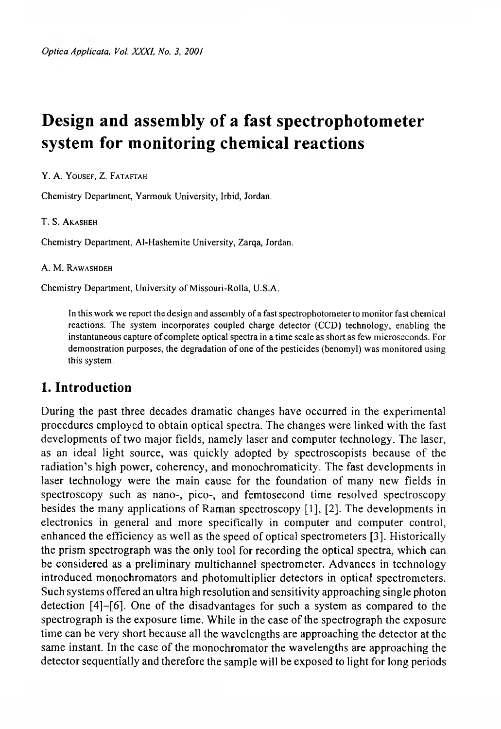# **Design and assembly of a fast spectrophotometer system for monitoring chemicai reactions**

#### Y. A. YOUSEF, Z. FATAFTAH

Chemistry Department, Yarmouk University, Irbid, Jordan.

#### T. S. AKASHEH

Chemistry Department, Ai-Hashemite University, Zarqa, Jordan.

#### A. M. RAWASHDEH

Chemistry Department, University of Missouri-Rolla, U.S.A.

Jn this work we report the design and assembiy of a fast spectrophotometer to monitor fast chemicai reactions. The system incorporates coupied charge detector (CCD) technoiogy, enabting the instantaneous capture of compiete opticat spectra in a time scaie as short as few microseconds. For demonstration purposes, the degradation of one of the pesticides (benomyi) was monitored using this system.

## **1. Introduction**

During the past three decades dramatic changes have occurred in the experimental procedures empioyed to obtain optica! spectra. The changes were linked with the fast developments of two major fields, namely laser and computer technology. The laser, as an ideal light source, was quickly adopted by spectroscopists because of the radiation's high power, coherency, and monochromaticity. The fast developments in laser technology were the main cause for the foundation of many new fields in spectroscopy such as nano-, pico-, and femtosecond time resolved spectroscopy besides the many applications of Raman spectroscopy [1], [2]. The developments in electronics in general and more specifically in computer and computer control, enhanced the efficiency as well as the speed of optical spectrometers [3]. Historically the prism spectrograph was the only tool for recording the optical spectra, which can be considered as a preliminary multichannel spectrometer. Advances in technology introduced monochromators and photomultiplier detectors in optical spectrometers. Such systems offered an ultra high resolution and sensitivity approaching single photon detection [4]-[6]. One of the disadvantages for such a system as compared to the spectrograph is the exposure time. While in the case of the spectrograph the exposure time can be very short because all the wavelengths are approaching the detector at the same instant. In the case of the monochromator the wavelengths are approaching the detector sequentially and therefore the sample will be exposed to light for long periods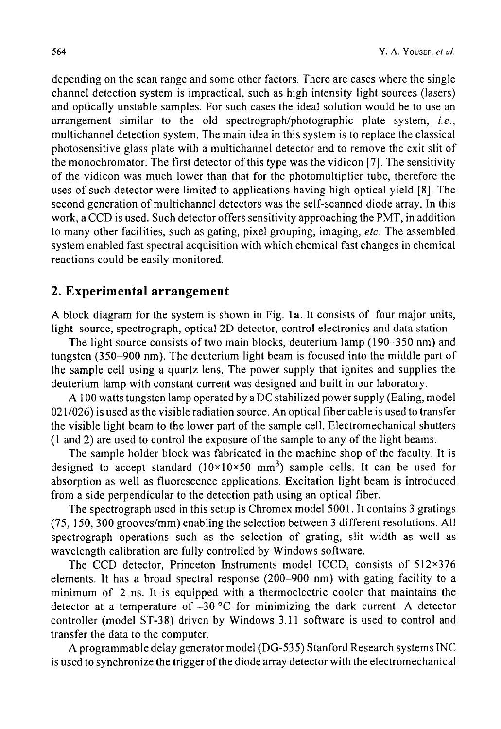depending on the scan range and some other factors. There are cases where the single channel detection system is impractical, such as high intensity light sources (lasers) and optically unstable samples. For such cases the ideal solution would be to use an arrangement similar to the old spectrograph/photographic plate system, *i.e.*, multichannel detection system. The main idea in this system is to replace the classical photosensitive glass plate with a multichannel detector and to remove the exit slit of the monochromator. The first detector of this type was the vidicon [7]. The sensitivity of the vidicon was much lower than that for the photomultiplier tube, therefore the uses of such detector were limited to applications having high optical yield [8]. The second generation of multichannel detectors was the self-scanned diode array. In this work, a CCD is used. Such detector offers sensitivity approaching the PMT, in addition to many other facilities, such as gating, pixel grouping, imaging, etc. The assembled system enabled fast spectral acquisition with which chemical fast changes in chemical reactions could be easily monitored.

## **2. Experimental arrangement**

A block diagram for the system is shown in Fig. la. It consists of four major units, light source, spectrograph, optical 2D detector, control electronics and data station.

The light source consists of two main blocks, deuterium lamp (190-350 nm) and tungsten (350-900 nm). The deuterium light beam is focused into the middle part of the sample cell using a quartz lens. The power supply that ignites and supplies the deuterium lamp with constant current was designed and built in our laboratory.

A 100 watts tungsten lamp operated by a DC stabilized power supply (Ealing, model 021/026) is used as the visible radiation source. An optical fiber cable is used to transfer the visible light beam to the lower part of the sample cell. Electromechanical shutters (1 and 2) are used to control the exposure of the sample to any of the light beams.

The sample holder block was fabricated in the machine shop of the faculty. It is designed to accept standard  $(10\times10\times50$  mm<sup>3</sup>) sample cells. It can be used for absorption as well as fluorescence applications. Excitation light beam is introduced from a side perpendicular to the detection path using an optical fiber.

The spectrograph used in this setup is Chromex model 5001. It contains 3 gratings (75, 150, 300 grooves/mm) enabling the selection between 3 different resolutions. All spectrograph operations such as the selection of grating, slit width as well as wavelength calibration are fully controlled by Windows software.

The CCD detector, Princeton Instruments model ICCD, consists of 512x376 elements. It has a broad spectral response (200-900 nm) with gating facility to a minimum of 2 ns. It is equipped with a thermoelectric cooler that maintains the detector at a temperature of  $-30$  °C for minimizing the dark current. A detector controller (model ST-38) driven by Windows 3.11 software is used to control and transfer the data to the computer.

A programmable delay generator model (DG-535) Stanford Research systems INC is used to synchronize the trigger of the diode array detector with the electromechanical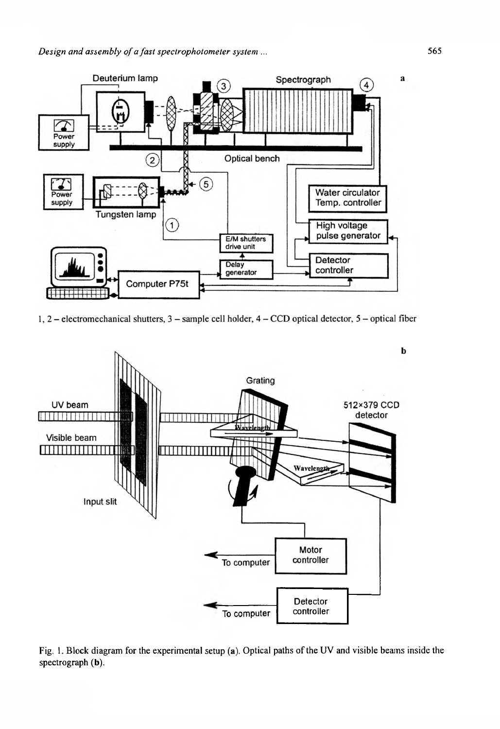

1, 2 – electromechanical shutters,  $3$  – sample cell holder,  $4$  – CCD optical detector,  $5$  – optical fiber



Fig. 1. Block diagram for the experimental setup (a). Optical paths of the UV and visible beams inside the spectrograph **(b).**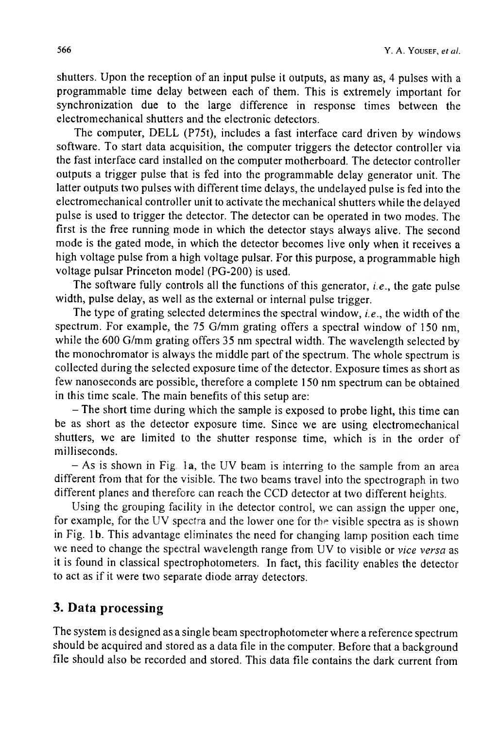shutters. Upon the reception of an input pulse it outputs, as many as, 4 pulses with a programmable time delay between each of them. This is extremely important for synchronization due to the large difference in response times between the electromechanical shutters and the electronic detectors.

The computer, DELL (P75t), includes a fast interface card driven by windows software. To start data acquisition, the computer triggers the detector controller via the fast interface card installed on the computer motherboard. The detector controller outputs a trigger pulse that is fed into the programmable delay generator unit. The latter outputs two pulses with different time delays, the undelayed pulse is fed into the electromechanical controller unit to activate the mechanical shutters while the delayed pulse is used to trigger the detector. The detector can be operated in two modes. The first is the free running mode in which the detector stays always alive. The second mode is the gated mode, in which the detector becomes live only when it receives a high voltage pulse from a high voltage pulsar. For this purpose, a programmable high voltage pulsar Princeton model (PG-200) is used.

The software fully controls all the functions of this generator, *i.e.*, the gate pulse width, pulse delay, as well as the external or internal pulse trigger.

The type of grating selected determines the spectral window, *i.e.*, the width of the spectrum. For example, the 75 G/mm grating offers a spectral window of 150 nm. while the 600 G/mm grating offers 35 nm spectral width. The wavelength selected by the monochromator is always the middle part of the spectrum. The whole spectrum is collected during the selected exposure time of the detector. Exposure times as short as few nanoseconds are possible, therefore a complete 150 nm spectrum can be obtained in this time scale. The main benefits of this setup are:

- The short time during which the sample is exposed to probe light, this time can be as short as the detector exposure time. Since we are using electromechanical shutters, we are limited to the shutter response time, which is in the order of milliseconds.

 $-$  As is shown in Fig. 1a, the UV beam is interring to the sample from an area different from that for the visible. The two beams travel into the spectrograph in two different planes and therefore can reach the CCD detector at two different heights.

Using the grouping facility in the detector control, we can assign the upper one, for example, for the UV spectra and the lower one for the visible spectra as is shown in Fig. 1b. This advantage eliminates the need for changing lamp position each time we need to change the spectral wavelength range from UV to visible or vice versa as it is found in classical spectrophotometers. In fact, this facility enables the detector to act as if it were two separate diode array detectors.

# 3. Data processing

The system is designed as a single beam spectrophotometer where a reference spectrum should be acquired and stored as a data file in the computer. Before that a background file should also be recorded and stored. This data file contains the dark current from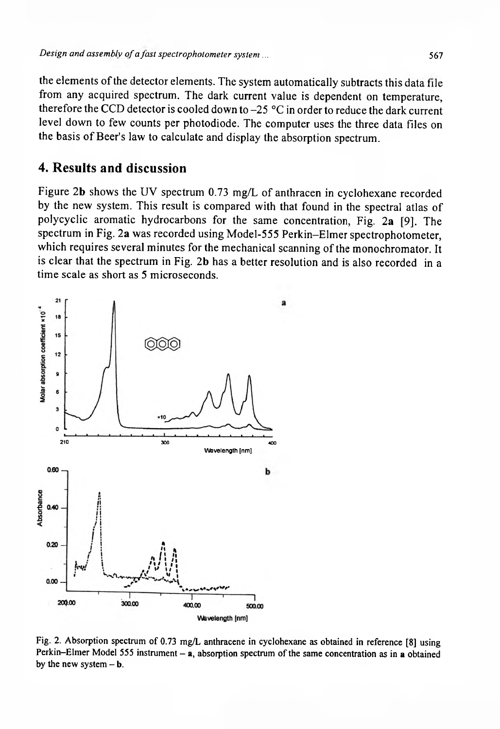the elements of the detector elements. The system automatically subtracts this data tile from any acquired spectrum. The dark current value is dependent on temperature, therefore the CCD detector is cooled down to  $-25$  °C in order to reduce the dark current level down to few counts per photodiode. The computer uses the three data files on the basis of Beer's law to calculate and display the absorption spectrum.

### **4. Resutts and discussion**

Figure 2b shows the UV spectrum 0.73 mg/L of anthracen in cyclohexane recorded by the new system. This result is compared with that found in the spectral atlas of polycyclic aromatic hydrocarbons for the same concentration, Fig. 2a [9]. The spectrum in Fig. 2a was recorded using Model-555 Perkin-Elmer spectrophotometer, which requires several minutes for the mechanical scanning of the monochromator. It is clear that the spectrum in Fig. 2b has a better resolution and is also recorded in a time scale as short as 5 microseconds.



Fig. 2. Absorption spectrum of 0.73 mg/L anthracene in cyclohexane as obtained in reference [8] using Perkin-Elmer Model 555 instrument - a, absorption spectrum of the same concentration as in a obtained by the new system  $- b$ .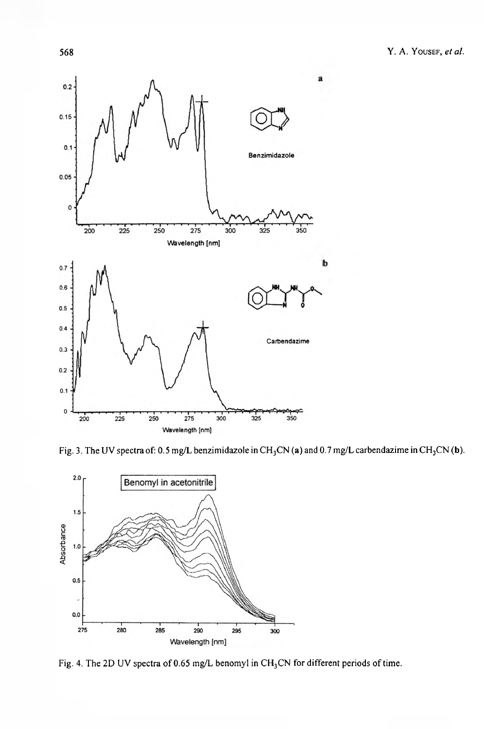

Fig. 3. The UV spectra of: 0.5 mg/L benzimidazole in  $CH_3CN$  (a) and 0.7 mg/L carbendazime in CH<sub>3</sub>CN (b).



Fig. 4. The 2D UV spectra of 0.65 mg/L benomyl in  $CH<sub>3</sub>CN$  for different periods of time.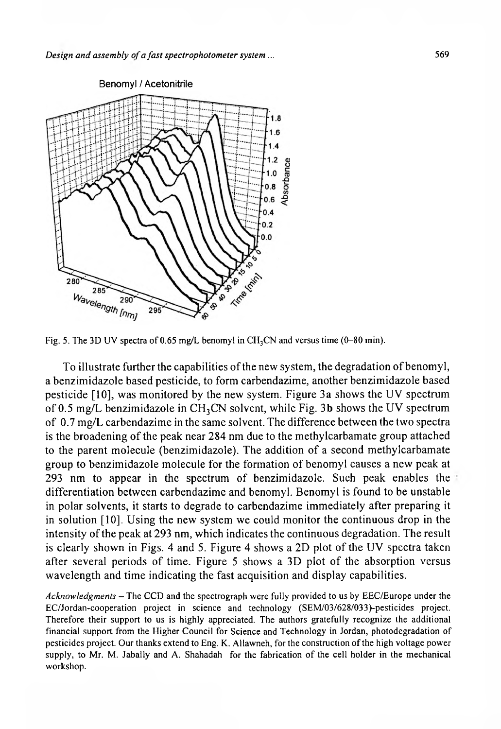

Fig. 5. The 3D UV spectra of 0.65 mg/L benomyl in CH<sub>3</sub>CN and versus time (0-80 min).

To illustrate further the capabilities of the new system, the degradation of benomyi, a benzimidazoie based pesticide, to form carbendazime, another benzimidazole based pesticide [Í0], was monitored by the new system. Figure 3a shows the UV spectrum of 0.5 mg/L benzimidazole in  $CH_3CN$  solvent, while Fig. 3b shows the UV spectrum of 0.7 mg/L carbendazime in the same solvent. The difference between the two spectra is the broadening of the peak near 284 nm due to the methylcarbamate group attached to the parent molecule (benzimidazole). The addition of a second methylcarbamate group to benzimidazole molecule for the formation of benomyi causes a new peak at 293 nm to appear in the spectrum of benzimidazole. Such peak enables the differentiation between carbendazime and benomyi. Benomyi is found to be unstable in polar solvents, it starts to degrade to carbendazime immediately after preparing it in solution [10]. Using the new system we could monitor the continuous drop in the intensity of the peak at 293 nm, which indicates the continuous degradation. The result is clearly shown in Figs. 4 and 5. Figure 4 shows a 2D plot of the UV spectra taken after several periods of time. Figure 5 shows a 3D plot of the absorption versus wavelength and time indicating the fast acquisition and display capabilities.

Acknowledgments - The CCD and the spectrograph were fully provided to us by EEC/Europe under the EC/Jordan-cooperation project in science and technology (SEM/03/628/033)-pesticides project. Therefore their support to us is highly appreciated. The authors gratefully recognize the additional financial support from the Higher Council for Science and Technology in Jordan, photodegradation of pesticides project. Our thanks extend to Eng. K. AHawneh, for the construction of the high voltage power supply, to Mr. M. Jabally and A. Shahadah for the fabrication of the cell holder in the mechanical workshop.